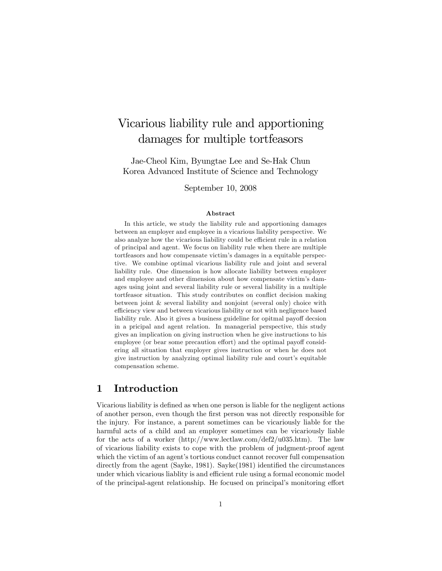# Vicarious liability rule and apportioning damages for multiple tortfeasors

Jae-Cheol Kim, Byungtae Lee and Se-Hak Chun Korea Advanced Institute of Science and Technology

September 10, 2008

#### Abstract

In this article, we study the liability rule and apportioning damages between an employer and employee in a vicarious liability perspective. We also analyze how the vicarious liability could be efficient rule in a relation of principal and agent. We focus on liability rule when there are multiple tortfeasors and how compensate victim's damages in a equitable perspective. We combine optimal vicarious liability rule and joint and several liability rule. One dimension is how allocate liability between employer and employee and other dimension about how compensate victim's damages using joint and several liability rule or several liability in a multiple tortfeasor situation. This study contributes on conflict decision making between joint & several liability and nonjoint (several only) choice with efficiency view and between vicarious liability or not with negligence based liability rule. Also it gives a business guideline for opitmal payoff decsion in a pricipal and agent relation. In managerial perspective, this study gives an implication on giving instruction when he give instructions to his employee (or bear some precaution effort) and the optimal payoff considering all situation that employer gives instruction or when he does not give instruction by analyzing optimal liability rule and court's equitable compensation scheme.

### 1 Introduction

Vicarious liability is defined as when one person is liable for the negligent actions of another person, even though the Örst person was not directly responsible for the injury. For instance, a parent sometimes can be vicariously liable for the harmful acts of a child and an employer sometimes can be vicariously liable for the acts of a worker (http://www.lectlaw.com/def2/u035.htm). The law of vicarious liability exists to cope with the problem of judgment-proof agent which the victim of an agent's tortious conduct cannot recover full compensation directly from the agent (Sayke, 1981). Sayke(1981) identified the circumstances under which vicarious liablity is and efficient rule using a formal economic model of the principal-agent relationship. He focused on principal's monitoring effort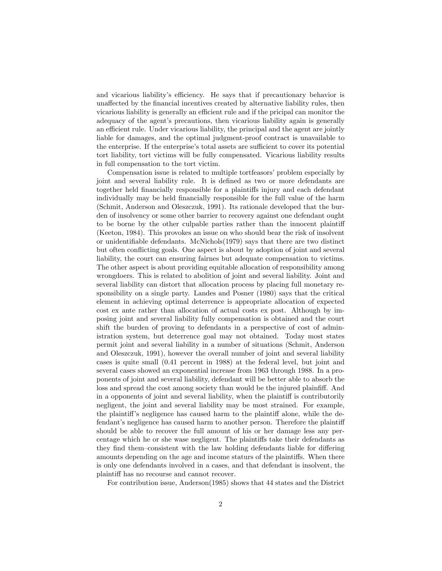and vicarious liability's efficiency. He says that if precautionary behavior is unaffected by the financial incentives created by alternative liability rules, then vicarious liability is generally an efficient rule and if the pricipal can monitor the adequacy of the agent's precautions, then vicarious liability again is generally an efficient rule. Under vicarious liability, the principal and the agent are jointly liable for damages, and the optimal judgment-proof contract is unavailable to the enterprise. If the enterprise's total assets are sufficient to cover its potential tort liability, tort victims will be fully compensated. Vicarious liability results in full compensation to the tort victim.

Compensation issue is related to multiple tortfeasors' problem especially by joint and several liability rule. It is defined as two or more defendants are together held financially responsible for a plaintiffs injury and each defendant individually may be held financially responsible for the full value of the harm (Schmit, Anderson and Oleszczuk, 1991). Its rationale developed that the burden of insolvency or some other barrier to recovery against one defendant ought to be borne by the other culpable parties rather than the innocent plaintiff (Keeton, 1984). This provokes an issue on who should bear the risk of insolvent or unidentifiable defendants. McNichols $(1979)$  says that there are two distinct but often conflicting goals. One aspect is about by adoption of joint and several liability, the court can ensuring fairnes but adequate compensation to victims. The other aspect is about providing equitable allocation of responsibility among wrongdoers. This is related to abolition of joint and several liability. Joint and several liability can distort that allocation process by placing full monetary responsibility on a single party. Landes and Posner (1980) says that the critical element in achieving optimal deterrence is appropriate allocation of expected cost ex ante rather than allocation of actual costs ex post. Although by imposing joint and several liability fully compensation is obtained and the court shift the burden of proving to defendants in a perspective of cost of administration system, but deterrence goal may not obtained. Today most states permit joint and several liability in a number of situations (Schmit, Anderson and Oleszczuk, 1991), however the overall number of joint and several liability cases is quite small (0.41 percent in 1988) at the federal level, but joint and several cases showed an exponential increase from 1963 through 1988. In a proponents of joint and several liability, defendant will be better able to absorb the loss and spread the cost among society than would be the injured plainfiff. And in a opponents of joint and several liability, when the plaintiff is contributorily negligent, the joint and several liability may be most strained. For example, the plaintiff's negligence has caused harm to the plaintiff alone, while the defendant's negligence has caused harm to another person. Therefore the plaintiff should be able to recover the full amount of his or her damage less any percentage which he or she wase negligent. The plaintiffs take their defendants as they find them-consistent with the law holding defendants liable for differing amounts depending on the age and income staturs of the plaintiffs. When there is only one defendants involved in a cases, and that defendant is insolvent, the plaintiff has no recourse and cannot recover.

For contribution issue, Anderson(1985) shows that 44 states and the District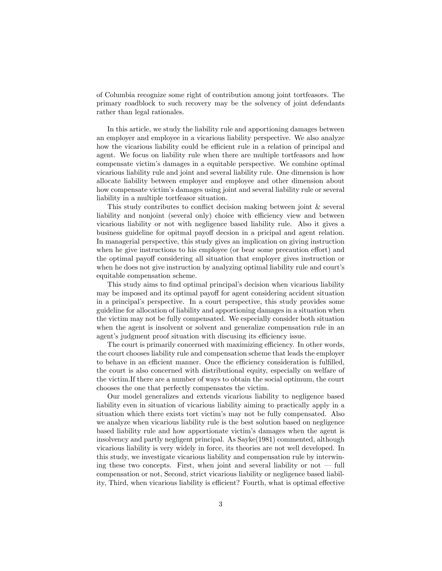of Columbia recognize some right of contribution among joint tortfeasors. The primary roadblock to such recovery may be the solvency of joint defendants rather than legal rationales.

In this article, we study the liability rule and apportioning damages between an employer and employee in a vicarious liability perspective. We also analyze how the vicarious liability could be efficient rule in a relation of principal and agent. We focus on liability rule when there are multiple tortfeasors and how compensate victimís damages in a equitable perspective. We combine optimal vicarious liability rule and joint and several liability rule. One dimension is how allocate liability between employer and employee and other dimension about how compensate victimís damages using joint and several liability rule or several liability in a multiple tortfeasor situation.

This study contributes to conflict decision making between joint  $\&$  several liability and nonjoint (several only) choice with efficiency view and between vicarious liability or not with negligence based liability rule. Also it gives a business guideline for opitmal payoff decsion in a pricipal and agent relation. In managerial perspective, this study gives an implication on giving instruction when he give instructions to his employee (or bear some precaution effort) and the optimal payoff considering all situation that employer gives instruction or when he does not give instruction by analyzing optimal liability rule and court's equitable compensation scheme.

This study aims to find optimal principal's decision when vicarious liability may be imposed and its optimal payoff for agent considering accident situation in a principalís perspective. In a court perspective, this study provides some guideline for allocation of liability and apportioning damages in a situation when the victim may not be fully compensated. We especially consider both situation when the agent is insolvent or solvent and generalize compensation rule in an agent's judgment proof situation with discusing its efficiency issue.

The court is primarily concerned with maximizing efficiency. In other words, the court chooses liability rule and compensation scheme that leads the employer to behave in an efficient manner. Once the efficiency consideration is fulfilled. the court is also concerned with distributional equity, especially on welfare of the victim.If there are a number of ways to obtain the social optimum, the court chooses the one that perfectly compensates the victim.

Our model generalizes and extends vicarious liability to negligence based liability even in situation of vicarious liability aiming to practically apply in a situation which there exists tort victim's may not be fully compensated. Also we analyze when vicarious liability rule is the best solution based on negligence based liability rule and how apportionate victimís damages when the agent is insolvency and partly negligent principal. As Sayke(1981) commented, although vicarious liability is very widely in force, its theories are not well developed. In this study, we investigate vicarious liability and compensation rule by interwining these two concepts. First, when joint and several liability or not  $-$  full compensation or not, Second, strict vicarious liability or negligence based liability, Third, when vicarious liability is efficient? Fourth, what is optimal effective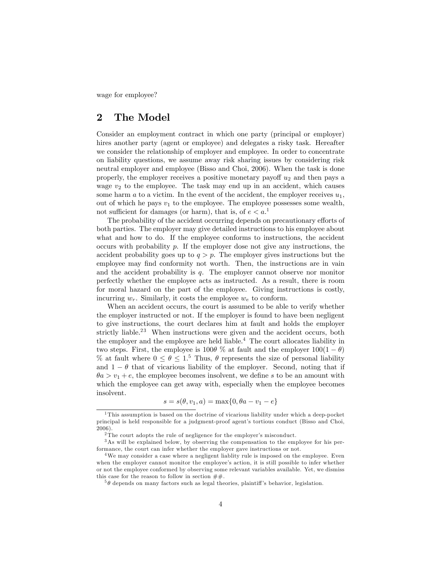wage for employee?

## 2 The Model

Consider an employment contract in which one party (principal or employer) hires another party (agent or employee) and delegates a risky task. Hereafter we consider the relationship of employer and employee. In order to concentrate on liability questions, we assume away risk sharing issues by considering risk neutral employer and employee (Bisso and Choi, 2006). When the task is done properly, the employer receives a positive monetary payoff  $u_2$  and then pays a wage  $v_2$  to the employee. The task may end up in an accident, which causes some harm  $a$  to a victim. In the event of the accident, the employer receives  $u_1$ , out of which he pays  $v_1$  to the employee. The employee possesses some wealth, not sufficient for damages (or harm), that is, of  $e < a$ <sup>1</sup>.

The probability of the accident occurring depends on precautionary efforts of both parties. The employer may give detailed instructions to his employee about what and how to do. If the employee conforms to instructions, the accident occurs with probability  $p$ . If the employer dose not give any instructions, the accident probability goes up to  $q > p$ . The employer gives instructions but the employee may find conformity not worth. Then, the instructions are in vain and the accident probability is q. The employer cannot observe nor monitor perfectly whether the employee acts as instructed. As a result, there is room for moral hazard on the part of the employee. Giving instructions is costly, incurring  $w_r$ . Similarly, it costs the employee  $w_e$  to conform.

When an accident occurs, the court is assumed to be able to verify whether the employer instructed or not. If the employer is found to have been negligent to give instructions, the court declares him at fault and holds the employer strictly liable.<sup>23</sup> When instructions were given and the accident occurs, both the employer and the employee are held liable.<sup>4</sup> The court allocates liability in two steps. First, the employee is 100 $\theta$ % at fault and the employer  $100(1 - \theta)$ % at fault where  $0 \leq \theta \leq 1$ <sup>5</sup> Thus,  $\theta$  represents the size of personal liability and  $1 - \theta$  that of vicarious liability of the employer. Second, noting that if  $\theta a > v_1 + e$ , the employee becomes insolvent, we define s to be an amount with which the employee can get away with, especially when the employee becomes insolvent.

$$
s = s(\theta, v_1, a) = \max\{0, \theta a - v_1 - e\}
$$

<sup>&</sup>lt;sup>1</sup>This assumption is based on the doctrine of vicarious liability under which a deep-pocket principal is held responsible for a judgment-proof agentís tortious conduct (Bisso and Choi, 2006).

 $2$ The court adopts the rule of negligence for the employer's misconduct.

<sup>3</sup>As will be explained below, by observing the compensation to the employee for his performance, the court can infer whether the employer gave instructions or not.

<sup>&</sup>lt;sup>4</sup>We may consider a case where a negligent liablity rule is imposed on the employee. Even when the employer cannot monitor the employee's action, it is still possible to infer whether or not the employee conformed by observing some relevant variables available. Yet, we dismiss this case for the reason to follow in section  $\#\#$ .

 $5\theta$  depends on many factors such as legal theories, plaintiff's behavior, legislation.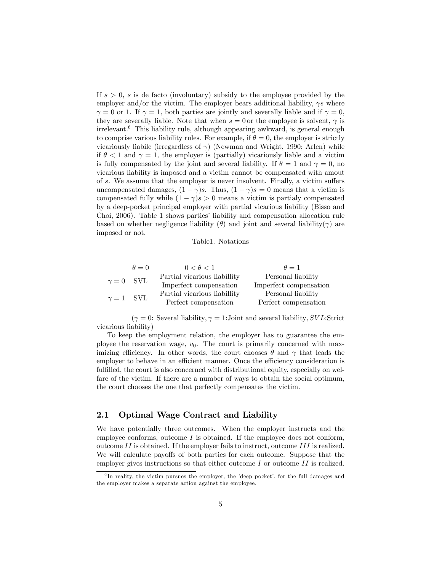If  $s > 0$ , s is de facto (involuntary) subsidy to the employee provided by the employer and/or the victim. The employer bears additional liability,  $\gamma s$  where  $\gamma = 0$  or 1. If  $\gamma = 1$ , both parties are jointly and severally liable and if  $\gamma = 0$ , they are severally liable. Note that when  $s = 0$  or the employee is solvent,  $\gamma$  is irrelevant.<sup>6</sup> This liability rule, although appearing awkward, is general enough to comprise various liability rules. For example, if  $\theta = 0$ , the employer is strictly vicariously liabile (irregardless of  $\gamma$ ) (Newman and Wright, 1990; Arlen) while if  $\theta < 1$  and  $\gamma = 1$ , the employer is (partially) vicariously liable and a victim is fully compensated by the joint and several liability. If  $\theta = 1$  and  $\gamma = 0$ , no vicarious liability is imposed and a victim cannot be compensated with amout of s. We assume that the employer is never insolvent. Finally, a victim suffers uncompensated damages,  $(1 - \gamma)s$ . Thus,  $(1 - \gamma)s = 0$  means that a victim is compensated fully while  $(1 - \gamma)s > 0$  means a victim is partialy compensated by a deep-pocket principal employer with partial vicarious liability (Bisso and Choi, 2006). Table 1 shows parties' liability and compensation allocation rule based on whether negligence liability  $(\theta)$  and joint and several liability  $(\gamma)$  are imposed or not.

#### Table1. Notations

|                  | $\theta = 0$ | $0 < \theta < 1$             | $\theta = 1$           |
|------------------|--------------|------------------------------|------------------------|
| $\gamma = 0$ SVL |              | Partial vicarious liabillity | Personal liability     |
|                  |              | Imperfect compensation       | Imperfect compensation |
| $\gamma = 1$ SVL |              | Partial vicarious liabillity | Personal liability     |
|                  |              | Perfect compensation         | Perfect compensation   |

 $(\gamma = 0:$  Several liability,  $\gamma = 1:$  Joint and several liability, SVL:Strict vicarious liability)

To keep the employment relation, the employer has to guarantee the employee the reservation wage,  $v_0$ . The court is primarily concerned with maximizing efficiency. In other words, the court chooses  $\theta$  and  $\gamma$  that leads the employer to behave in an efficient manner. Once the efficiency consideration is fulfilled, the court is also concerned with distributional equity, especially on welfare of the victim. If there are a number of ways to obtain the social optimum, the court chooses the one that perfectly compensates the victim.

### 2.1 Optimal Wage Contract and Liability

We have potentially three outcomes. When the employer instructs and the employee conforms, outcome  $I$  is obtained. If the employee does not conform, outcome  $II$  is obtained. If the employer fails to instruct, outcome  $III$  is realized. We will calculate payoffs of both parties for each outcome. Suppose that the employer gives instructions so that either outcome  $I$  or outcome  $II$  is realized.

 ${}^{6}$ In reality, the victim pursues the employer, the 'deep pocket', for the full damages and the employer makes a separate action against the employee.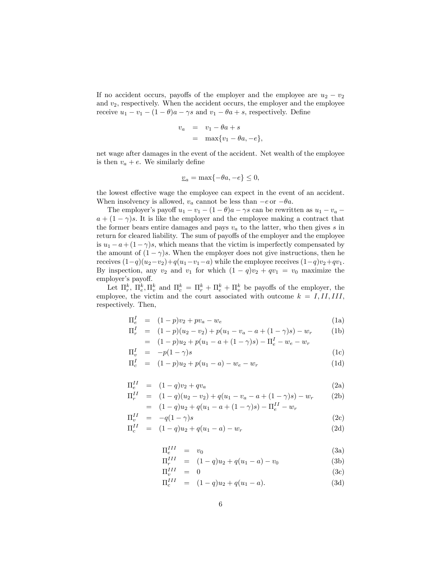If no accident occurs, payoffs of the employer and the employee are  $u_2 - v_2$ and  $v_2$ , respectively. When the accident occurs, the employer and the employee receive  $u_1 - v_1 - (1 - \theta)a - \gamma s$  and  $v_1 - \theta a + s$ , respectively. Define

$$
v_a = v_1 - \theta a + s
$$
  
= max{ $v_1 - \theta a, -e$ },

net wage after damages in the event of the accident. Net wealth of the employee is then  $v_a + e$ . We similarly define

$$
\underline{v}_a = \max\{-\theta a, -e\} \le 0,
$$

the lowest effective wage the employee can expect in the event of an accident. When insolvency is allowed,  $v_a$  cannot be less than  $-e$  or  $-\theta a$ .

The employer's payoff  $u_1 - v_1 - (1 - \theta)a - \gamma s$  can be rewritten as  $u_1 - v_a$  $a + (1 - \gamma)s$ . It is like the employer and the employee making a contract that the former bears entire damages and pays  $v_a$  to the latter, who then gives s in return for cleared liability. The sum of payoffs of the employer and the employee is  $u_1 - a + (1 - \gamma)s$ , which means that the victim is imperfectly compensated by the amount of  $(1 - \gamma)s$ . When the employer does not give instructions, then he receives  $(1-q)(u_2-v_2)+q(u_1-v_1-a)$  while the employee receives  $(1-q)v_2+qv_1$ . By inspection, any  $v_2$  and  $v_1$  for which  $(1 - q)v_2 + qv_1 = v_0$  maximize the employer's payoff.

Let  $\Pi_r^k$ ,  $\Pi_e^k$ ,  $\Pi_v^k$  and  $\Pi_c^k = \Pi_r^k + \Pi_e^k + \Pi_v^k$  be payoffs of the employer, the employee, the victim and the court associated with outcome  $k = I, II, III,$ respectively. Then,

$$
\Pi_e^I = (1 - p)v_2 + pv_a - w_e \tag{1a}
$$

$$
\Pi_r^I = (1-p)(u_2 - v_2) + p(u_1 - v_a - a + (1-\gamma)s) - w_r
$$
 (1b)

$$
= (1-p)u_2 + p(u_1 - a + (1 - \gamma)s) - \Pi_e^I - w_e - w_r
$$

$$
\Pi_v^I = -p(1-\gamma)s
$$
\n
$$
\Pi_c^I = (1-p)u_2 + p(u_1 - a) - w_e - w_r
$$
\n(1c)\n(1d)

$$
-H \qquad \qquad (1)
$$

$$
\Pi_e^{II} = (1-q)v_2 + qv_a
$$
\n
$$
\Pi_e^{II} = (1-q)(u_2 - v_1) + q(u_2 - v_2 - q + (1-q)e) - w
$$
\n(2a)

$$
\Pi_r^{II} = (1-q)(u_2 - v_2) + q(u_1 - v_a - a + (1 - \gamma)s) - w_r
$$
\n
$$
= (1-q)u_2 + q(u_1 - a + (1 - \gamma)s) - \Pi_e^{II} - w_r
$$
\n(2b)

$$
\Pi_v^{II} = -q(1-\gamma)s \tag{2c}
$$

$$
\Pi_c^{II} = (1-q)u_2 + q(u_1 - a) - w_r \tag{2d}
$$

$$
\Pi_e^{III} = v_0 \tag{3a}
$$

$$
\Pi_r^{III} = (1-q)u_2 + q(u_1 - a) - v_0 \tag{3b}
$$

$$
\Pi_v^{III} = 0 \tag{3c}
$$

$$
\Pi_c^{III} = (1-q)u_2 + q(u_1 - a). \tag{3d}
$$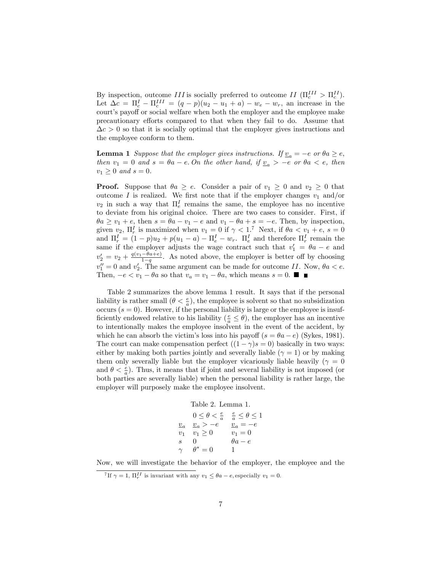By inspection, outcome III is socially preferred to outcome II  $(\Pi_c^{III} > \Pi_c^{II})$ . Let  $\Delta c = \Pi_c^I - \Pi_c^{III} = (q - p)(u_2 - u_1 + a) - w_e - w_r$ , an increase in the court's payoff or social welfare when both the employer and the employee make precautionary efforts compared to that when they fail to do. Assume that  $\Delta c > 0$  so that it is socially optimal that the employer gives instructions and the employee conform to them.

**Lemma 1** Suppose that the employer gives instructions. If  $\underline{v}_a = -e$  or  $\theta a \geq e$ , then  $v_1 = 0$  and  $s = \theta a - e$ . On the other hand, if  $v_a > -e$  or  $\theta a < e$ , then  $v_1 \geq 0$  and  $s = 0$ .

**Proof.** Suppose that  $\theta a \geq e$ . Consider a pair of  $v_1 \geq 0$  and  $v_2 \geq 0$  that outcome I is realized. We first note that if the employer changes  $v_1$  and/or  $v_2$  in such a way that  $\Pi_e^I$  remains the same, the employee has no incentive to deviate from his original choice. There are two cases to consider. First, if  $\theta a \ge v_1 + e$ , then  $s = \theta a - v_1 - e$  and  $v_1 - \theta a + s = -e$ . Then, by inspection, given  $v_2$ ,  $\Pi_r^I$  is maximized when  $v_1 = 0$  if  $\gamma < 1$ .<sup>7</sup> Next, if  $\theta a < v_1 + e$ ,  $s = 0$ and  $\Pi_r^I = (1 - p)u_2 + p(u_1 - a) - \Pi_e^I - w_r$ .  $\Pi_e^I$  and therefore  $\Pi_r^I$  remain the same if the employer adjusts the wage contract such that  $v'_1 = \theta a - e$  and  $v_2' = v_2 + \frac{q(v_1 - \theta a + e)}{1 - q}$  $\frac{-\theta a + e}{1-q}$ . As noted above, the employer is better off by choosing  $v''_1 = 0$  and  $v'_2$ . The same argument can be made for outcome II. Now,  $\theta a < e$ . Then,  $-e < v_1 - \theta a$  so that  $v_a = v_1 - \theta a$ , which means  $s = 0$ .

Table 2 summarizes the above lemma 1 result. It says that if the personal liability is rather small  $(\theta < \frac{e}{a})$ , the employee is solvent so that no subsidization occurs  $(s = 0)$ . However, if the personal liability is large or the employee is insufficiently endowed relative to his liability ( $\frac{e}{a} \le \theta$ ), the employer has an incentive to intentionally makes the employee insolvent in the event of the accident, by which he can absorb the victim's loss into his payoff  $(s = \theta a - e)$  (Sykes, 1981). The court can make compensation perfect  $((1 - \gamma)s = 0)$  basically in two ways: either by making both parties jointly and severally liable  $(\gamma = 1)$  or by making them only severally liable but the employer vicariously liable heavily ( $\gamma = 0$ and  $\theta < \frac{e}{a}$ ). Thus, it means that if joint and several liability is not imposed (or both parties are severally liable) when the personal liability is rather large, the employer will purposely make the employee insolvent.

Table 2. Lemma 1.

|          | $0 \leq \theta < \frac{e}{a}$                | $\frac{e}{a} \leq \theta \leq 1$ |
|----------|----------------------------------------------|----------------------------------|
|          | $\underline{v}_a \quad \underline{v}_a > -e$ | $\underline{v}_a = -e$           |
| $v_1$    | $v_1 > 0$                                    | $v_1 = 0$                        |
| S        | $\mathbf{0}$                                 | $\theta a - e$                   |
| $\gamma$ | $\theta^* = 0$                               |                                  |

Now, we will investigate the behavior of the employer, the employee and the

<sup>&</sup>lt;sup>7</sup>If  $\gamma = 1$ ,  $\Pi_r^{II}$  is invariant with any  $v_1 \leq \theta a - e$ , especially  $v_1 = 0$ .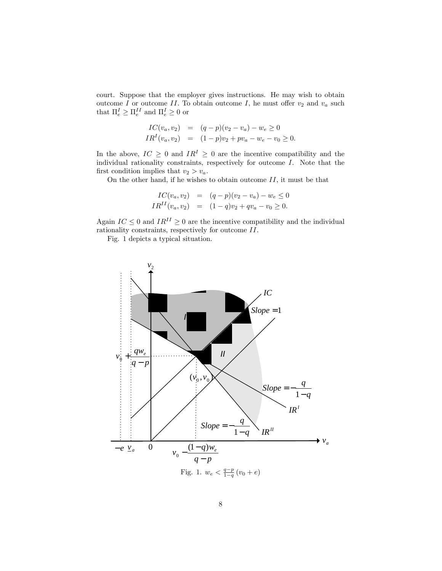court. Suppose that the employer gives instructions. He may wish to obtain outcome  $I$  or outcome  $II$ . To obtain outcome  $I$ , he must offer  $v_2$  and  $v_a$  such that  $\Pi_e^I \geq \Pi_e^{II}$  and  $\Pi_e^I \geq 0$  or

$$
IC(v_a, v_2) = (q-p)(v_2 - v_a) - w_e \ge 0
$$
  

$$
IR^{I}(v_a, v_2) = (1-p)v_2 + pv_a - w_e - v_0 \ge 0.
$$

In the above,  $IC \geq 0$  and  $IR^I \geq 0$  are the incentive compatibility and the individual rationality constraints, respectively for outcome I. Note that the first condition implies that  $v_2 > v_a$ .

On the other hand, if he wishes to obtain outcome  $II$ , it must be that

$$
IC(v_a, v_2) = (q-p)(v_2 - v_a) - w_e \le 0
$$
  

$$
IR^{II}(v_a, v_2) = (1-q)v_2 + qv_a - v_0 \ge 0.
$$

Again  $IC \leq 0$  and  $IR^{II} \geq 0$  are the incentive compatibility and the individual rationality constraints, respectively for outcome II.

Fig. 1 depicts a typical situation.

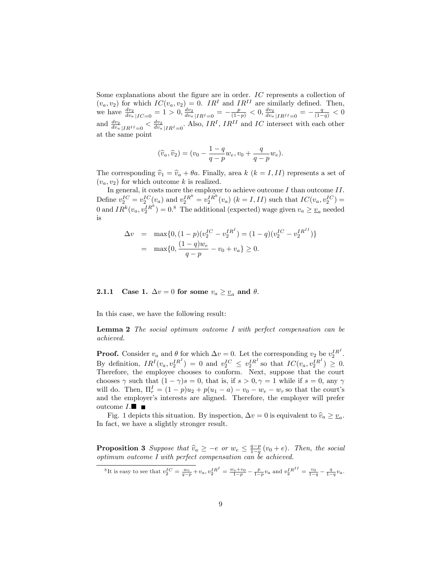Some explanations about the figure are in order.  $IC$  represents a collection of  $(v_a, v_2)$  for which  $IC(v_a, v_2) = 0$ . IR<sup>I</sup> and IR<sup>II</sup> are similarly defined. Then, we have  $\frac{dv_2}{dv_a}|_{IC=0} = 1 > 0$ ,  $\frac{dv_2}{dv_a}|_{IR^I=0} = -\frac{p}{(1-p)} < 0$ ,  $\frac{dv_2}{dv_a}|_{IR^I=0} = -\frac{q}{(1-q)} < 0$ and  $\frac{dv_2}{dv_a}|_{IR^{II}=0} < \frac{dv_2}{dv_a}|_{IR^{I}=0}$ . Also,  $IR^I$ ,  $IR^{II}$  and  $IC$  intersect with each other at the same point

$$
(\hat{v}_a, \hat{v}_2) = (v_0 - \frac{1-q}{q-p}w_e, v_0 + \frac{q}{q-p}w_e).
$$

The corresponding  $\hat{v}_1 = \hat{v}_a + \theta a$ . Finally, area k  $(k = I, II)$  represents a set of  $(v_a, v_2)$  for which outcome k is realized.

In general, it costs more the employer to achieve outcome  $I$  than outcome  $II$ . Define  $v_2^{IC} = v_2^{IC}(v_a)$  and  $v_2^{IR^k} = v_2^{IR^k}(v_a)$   $(k = I, II)$  such that  $IC(v_a, v_2^{IC}) =$ 0 and  $IR^k(v_a, v_2^{IR^k}) = 0.8$  The additional (expected) wage given  $v_a \ge v_a$  needed is

$$
\Delta v = \max\{0, (1-p)(v_2^{IC} - v_2^{IR^I}) = (1-q)(v_2^{IC} - v_2^{IR^{II}})\}
$$
  
= 
$$
\max\{0, \frac{(1-q)w_e}{q-p} - v_0 + v_a\} \ge 0.
$$

**2.1.1** Case 1.  $\Delta v = 0$  for some  $v_a \ge v_a$  and  $\theta$ .

In this case, we have the following result:

Lemma 2 The social optimum outcome I with perfect compensation can be achieved.

**Proof.** Consider  $v_a$  and  $\theta$  for which  $\Delta v = 0$ . Let the corresponding  $v_2$  be  $v_2^{IR}$ . By definition,  $IR^I(v_a, v_2^{IR^I}) = 0$  and  $v_2^{IC} \n\t\leq v_2^{IR^I}$  so that  $IC(v_a, v_2^{IR^I}) \geq 0$ . Therefore, the employee chooses to conform. Next, suppose that the court chooses  $\gamma$  such that  $(1 - \gamma)s = 0$ , that is, if  $s > 0, \gamma = 1$  while if  $s = 0$ , any  $\gamma$ will do. Then,  $\Pi_r^I = (1 - p)u_2 + p(u_1 - a) - v_0 - w_e - w_r$  so that the court's and the employer's interests are aligned. Therefore, the employer will prefer outcome  $I.\blacksquare$ 

Fig. 1 depicts this situation. By inspection,  $\Delta v = 0$  is equivalent to  $\hat{v}_a \ge \underline{v}_a$ . In fact, we have a slightly stronger result.

**Proposition 3** Suppose that  $\hat{v}_a \geq -e$  or  $w_e \leq \frac{q-p}{1-q}(v_0 + e)$ . Then, the social optimum outcome I with perfect compensation can be achieved.

<sup>&</sup>lt;sup>8</sup>It is easy to see that  $v_2^{IC} = \frac{w_e}{q-p} + v_a$ ,  $v_2^{IR} = \frac{w_e + v_0}{1-p} - \frac{p}{1-p}v_a$  and  $v_2^{IRII} = \frac{v_0}{1-q} - \frac{q}{1-q}v_a$ .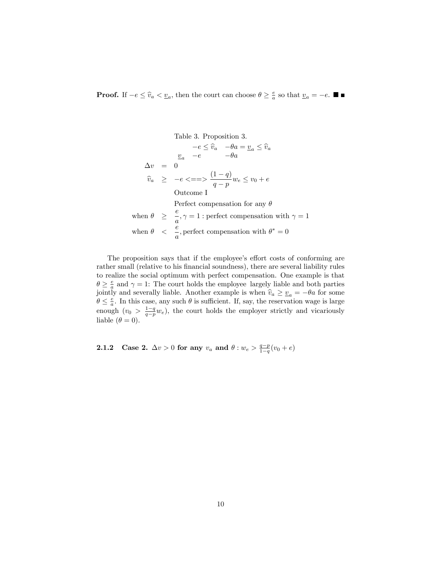**Proof.** If  $-e \le \hat{v}_a < \underline{v}_a$ , then the court can choose  $\theta \ge \frac{e}{a}$  so that  $\underline{v}_a = -e$ .

Table 3. Proposition 3.  
\n
$$
-e \leq \hat{v}_a \quad -\theta a = \underline{v}_a \leq \hat{v}_a
$$
\n
$$
\underline{v}_a \quad -e \qquad -\theta a
$$
\n
$$
\Delta v = 0
$$
\n
$$
\hat{v}_a \geq -e \langle == \rangle \frac{(1-q)}{q-p} w_e \leq v_0 + e
$$
\n
$$
\text{Outcome I}
$$
\n
$$
\text{Perfect compensation for any } \theta
$$
\n
$$
\Rightarrow \frac{e}{a}, \gamma = 1 \text{ : perfect compensation with } \gamma = 1
$$
\n
$$
\text{when } \theta \leq \frac{e}{a}, \text{perfect compensation with } \theta^* = 0
$$

The proposition says that if the employee's effort costs of conforming are rather small (relative to his financial soundness), there are several liability rules to realize the social optimum with perfect compensation. One example is that  $\theta \geq \frac{e}{a}$  and  $\gamma = 1$ : The court holds the employee largely liable and both parties jointly and severally liable. Another example is when  $\hat{v}_a \geq v_a = -\theta a$  for some  $\theta \leq \frac{e}{a}$ . In this case, any such  $\theta$  is sufficient. If, say, the reservation wage is large enough  $(v_0 > \frac{1-q}{q-p}w_e)$ , the court holds the employer strictly and vicariously liable  $(\theta = 0)$ .

2.1.2 Case 2.  $\Delta v > 0$  for any  $v_a$  and  $\theta : w_e > \frac{q-p}{1-q}(v_0 + e)$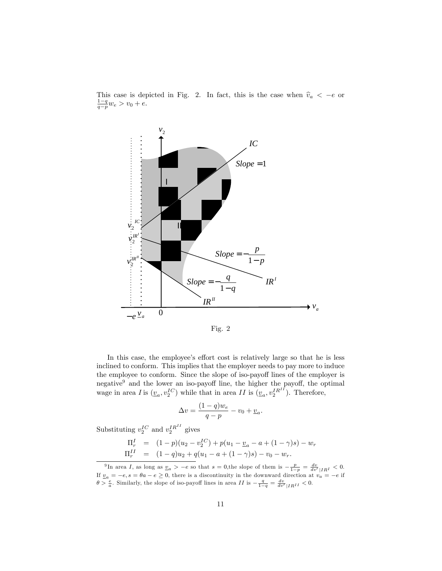

This case is depicted in Fig. 2. In fact, this is the case when  $\hat{v}_a < -e$  or  $\frac{1-q}{q-p}w_e > v_0 + e$ .

Fig. 2

In this case, the employee's effort cost is relatively large so that he is less inclined to conform. This implies that the employer needs to pay more to induce the employee to conform. Since the slope of iso-payoff lines of the employer is negative $9$  and the lower an iso-payoff line, the higher the payoff, the optimal wage in area *I* is  $(\underline{v}_a, v_2^{IC})$  while that in area *II* is  $(\underline{v}_a, v_2^{IR^{II}})$ . Therefore,

$$
\Delta v = \frac{(1-q)w_e}{q-p} - v_0 + \underline{v}_a.
$$

Substituting  $v_2^{IC}$  and  $v_2^{IR^{II}}$  gives

$$
\Pi_r^I = (1-p)(u_2 - v_2^{IC}) + p(u_1 - \underline{v}_a - a + (1-\gamma)s) - w_r \n\Pi_r^{II} = (1-q)u_2 + q(u_1 - a + (1-\gamma)s) - v_0 - w_r.
$$

<sup>&</sup>lt;sup>9</sup>In area *I*, as long as  $\underline{v}_a > -e$  so that  $s = 0$ , the slope of them is  $-\frac{p}{1-p} = \frac{dv}{dv'}|_{IR} I \leq 0$ . If  $v_a = -e, s = \theta a - e \ge 0$ , there is a discontinuity in the downward direction at  $v_a = -e$  if  $\theta > \frac{e}{a}$ . Similarly, the slope of iso-payoff lines in area II is  $-\frac{q}{1-q} = \frac{dv}{dv'}|_{IR}I I \le 0$ .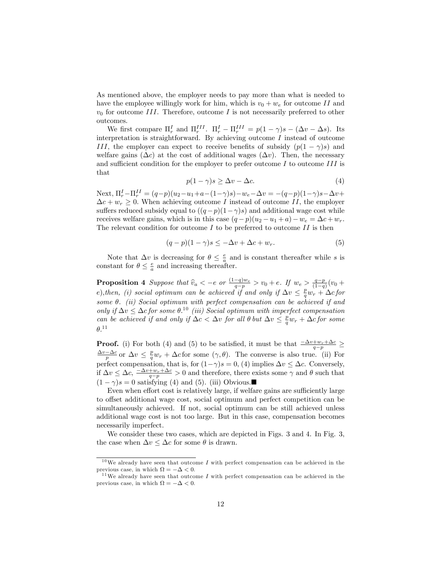As mentioned above, the employer needs to pay more than what is needed to have the employee willingly work for him, which is  $v_0 + w_e$  for outcome II and  $v_0$  for outcome III. Therefore, outcome I is not necessarily preferred to other outcomes.

We first compare  $\Pi_r^I$  and  $\Pi_r^{III}$ .  $\Pi_r^I - \Pi_r^{III} = p(1 - \gamma)s - (\Delta v - \Delta s)$ . Its interpretation is straightforward. By achieving outcome  $I$  instead of outcome III, the employer can expect to receive benefits of subsidy  $(p(1 - \gamma)s)$  and welfare gains  $(\Delta c)$  at the cost of additional wages  $(\Delta v)$ . Then, the necessary and sufficient condition for the employer to prefer outcome  $I$  to outcome  $III$  is that

$$
p(1 - \gamma)s \ge \Delta v - \Delta c. \tag{4}
$$

Next,  $\Pi_r^I - \Pi_r^{II} = (q-p)(u_2 - u_1 + a - (1-\gamma)s) - w_e - \Delta v = -(q-p)(1-\gamma)s - \Delta v +$  $\Delta c + w_r \geq 0$ . When achieving outcome *I* instead of outcome *II*, the employer suffers reduced subsidy equal to  $((q-p)(1-\gamma)s)$  and additional wage cost while receives welfare gains, which is in this case  $(q - p)(u_2 - u_1 + a) - w_e = \Delta c + w_r$ . The relevant condition for outcome  $I$  to be preferred to outcome  $II$  is then

$$
(q-p)(1-\gamma)s \le -\Delta v + \Delta c + w_r. \tag{5}
$$

Note that  $\Delta v$  is decreasing for  $\theta \leq \frac{e}{a}$  and is constant thereafter while s is constant for  $\theta \leq \frac{e}{a}$  and increasing thereafter.

**Proposition 4** Suppose that  $\hat{v}_a < -e$  or  $\frac{(1-q)w_e}{q-p} > v_0 + e$ . If  $w_e > \frac{q-p}{(1-q)}(v_0 + e)$ e), then, (i) social optimum can be achieved if and only if  $\Delta v \leq \frac{p}{q}w_r + \Delta c$  for some  $\theta$ . (ii) Social optimum with perfect compensation can be achieved if and only if  $\Delta v \leq \Delta c$  for some  $\theta$ .<sup>10</sup> (iii) Social optimum with imperfect compensation can be achieved if and only if  $\Delta c < \Delta v$  for all  $\theta$  but  $\Delta v \leq \frac{p}{q} w_r + \Delta c$  for some  $\theta$ <sup>11</sup>

**Proof.** (i) For both (4) and (5) to be satisfied, it must be that  $\frac{-\Delta v+w_r+\Delta c}{q-p} \ge$  $\frac{\Delta v - \Delta c}{p}$  or  $\Delta v \leq \frac{p}{q} w_r + \Delta c$  for some  $(\gamma, \theta)$ . The converse is also true. (ii) For perfect compensation, that is, for  $(1-\gamma)s = 0$ , (4) implies  $\Delta v \leq \Delta c$ . Conversely, if  $\Delta v \leq \Delta c$ ,  $\frac{-\Delta v + w_r + \Delta c}{q - p} > 0$  and therefore, there exists some  $\gamma$  and  $\theta$  such that  $(1 - \gamma)s = 0$  satisfying (4) and (5). (iii) Obvious.

Even when effort cost is relatively large, if welfare gains are sufficiently large to offset additional wage cost, social optimum and perfect competition can be simultaneously achieved. If not, social optimum can be still achieved unless additional wage cost is not too large. But in this case, compensation becomes necessarily imperfect.

We consider these two cases, which are depicted in Figs. 3 and 4. In Fig. 3, the case when  $\Delta v \leq \Delta c$  for some  $\theta$  is drawn.

 $10$ We already have seen that outcome I with perfect compensation can be achieved in the previous case, in which  $\Omega = -\Delta < 0$ .

<sup>&</sup>lt;sup>11</sup>We already have seen that outcome  $I$  with perfect compensation can be achieved in the previous case, in which  $\Omega = -\Delta < 0$ .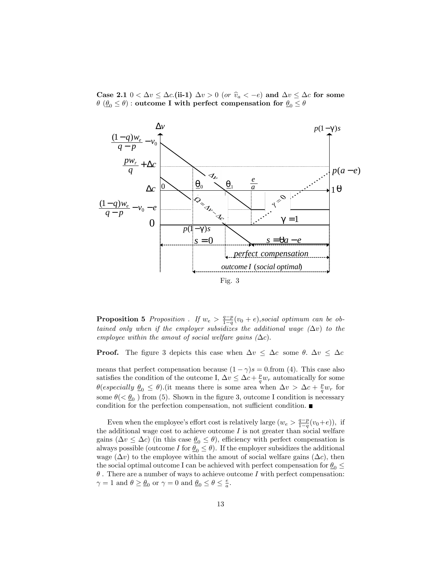Case 2.1  $0 < \Delta v \leq \Delta c$ . (ii-1)  $\Delta v > 0$  (or  $\hat{v}_a < -e$ ) and  $\Delta v \leq \Delta c$  for some  $\theta$   $(\underline{\theta}_0 \leq \theta)$  : outcome I with perfect compensation for  $\underline{\theta}_0 \leq \theta$ 



**Proposition 5** Proposition . If  $w_e > \frac{q-p}{1-q}(v_0 + e)$ , social optimum can be obtained only when if the employer subsidizes the additional wage  $(\Delta v)$  to the employee within the amout of social welfare gains  $(\Delta c)$ .

**Proof.** The figure 3 depicts this case when  $\Delta v \leq \Delta c$  some  $\theta$ .  $\Delta v \leq \Delta c$ 

means that perfect compensation because  $(1 - \gamma)s = 0$ . This case also satisfies the condition of the outcome I,  $\Delta v \leq \Delta c + \frac{p}{q} w_r$  automatically for some  $\theta(\text{especially } \underline{\theta}_0 \leq \theta).$ (it means there is some area when  $\Delta v > \Delta c + \frac{p}{q} w_r$  for some  $\theta$ ( $\lt \theta_0$ ) from (5). Shown in the figure 3, outcome I condition is necessary condition for the perfection compensation, not sufficient condition.  $\blacksquare$ 

Even when the employee's effort cost is relatively large  $(w_e > \frac{q-p}{1-q}(v_0+e))$ , if the additional wage cost to achieve outcome  $I$  is not greater than social welfare gains  $(\Delta v \leq \Delta c)$  (in this case  $\theta_0 \leq \theta$ ), efficiency with perfect compensation is always possible (outcome I for  $\underline{\theta}_0 \leq \theta$ ). If the employer subsidizes the additional wage  $(\Delta v)$  to the employee within the amout of social welfare gains  $(\Delta c)$ , then the social optimal outcome I can be achieved with perfect compensation for  $\theta_0 \leq$  $\theta$  . There are a number of ways to achieve outcome  $I$  with perfect compensation:  $\gamma = 1$  and  $\theta \ge \underline{\theta}_0$  or  $\gamma = 0$  and  $\underline{\theta}_0 \le \theta \le \frac{e}{a}$ .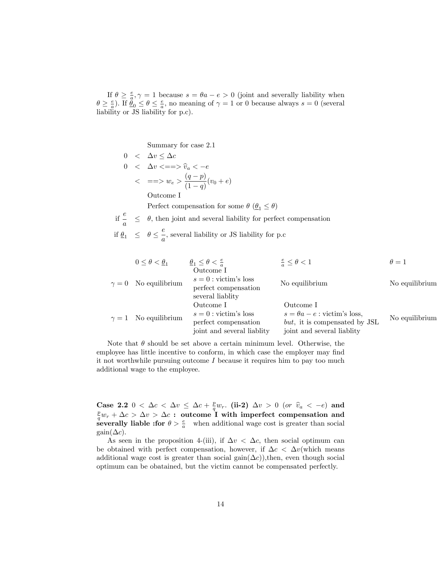If  $\theta \geq \frac{e}{a}, \gamma = 1$  because  $s = \theta a - e > 0$  (joint and severally liability when  $\theta \geq \frac{e}{a}$ ). If  $\underline{\hat{\theta}}_0 \leq \theta \leq \frac{e}{a}$ , no meaning of  $\gamma = 1$  or 0 because always  $s = 0$  (several liability or JS liability for p.c).

Summary for case 2.1

$$
0 < \Delta v \leq \Delta c
$$
  
\n
$$
0 < \Delta v \leq = \Rightarrow \hat{v}_a < -e
$$
  
\n
$$
< =\Rightarrow w_e > \frac{(q-p)}{(1-q)}(v_0 + e)
$$
  
\n
$$
\text{Outcome I}
$$
  
\nPerfect compensation for some  $\theta$  ( $\theta_1 \leq \theta$ )

if  $\frac{e}{a}$  $\leq$   $\,$   $\theta,$  then joint and several liability for perfect compensation e

if 
$$
\underline{\theta}_1 \leq \theta \leq \frac{c}{a}
$$
, several liability or JS liability for p.c

| $0 \leq \theta < \underline{\theta}_1$ | $\theta_1 \leq \theta < \frac{e}{a}$                                                     | $\frac{e}{a} \leq \theta < 1$                                                                                   | $\theta = 1$   |
|----------------------------------------|------------------------------------------------------------------------------------------|-----------------------------------------------------------------------------------------------------------------|----------------|
| $\gamma = 0$ No equilibrium            | Outcome I<br>$s=0$ : victim's loss<br>perfect compensation<br>several liablity           | No equilibrium                                                                                                  | No equilibrium |
| $\gamma = 1$ No equilibrium            | Outcome I<br>$s=0$ : victim's loss<br>perfect compensation<br>joint and several liablity | Outcome I<br>$s = \theta a - e$ : victim's loss,<br>but, it is compensated by JSL<br>joint and several liablity | No equilibrium |

Note that  $\theta$  should be set above a certain minimum level. Otherwise, the employee has little incentive to conform, in which case the employer may find it not worthwhile pursuing outcome  $I$  because it requires him to pay too much additional wage to the employee.

Case 2.2  $0 < \Delta c < \Delta v \leq \Delta c + \frac{p}{q} w_r$ . (ii-2)  $\Delta v > 0$  (or  $\hat{v}_a < -e$ ) and  $\frac{p}{q} w_r + \Delta c > \Delta v > \Delta c$  : outcome I with imperfect compensation and severally liable : for  $\theta > \frac{e}{a}$  when additional wage cost is greater than social  $\text{gain}(\Delta c)$ .

As seen in the proposition 4-(iii), if  $\Delta v < \Delta c$ , then social optimum can be obtained with perfect compensation, however, if  $\Delta c < \Delta v$  (which means additional wage cost is greater than social gain $(\Delta c)$ ), then, even though social optimum can be obatained, but the victim cannot be compensated perfectly.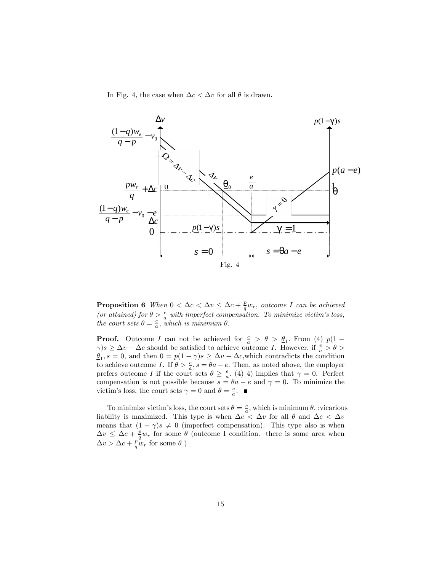In Fig. 4, the case when  $\Delta c < \Delta v$  for all  $\theta$  is drawn.



**Proposition 6** When  $0 < \Delta c < \Delta v \leq \Delta c + \frac{p}{q} w_r$ , outcome I can be achieved (or attained) for  $\theta > \frac{e}{a}$  with imperfect compensation. To minimize victim's loss, the court sets  $\theta = \frac{e}{a}$ , which is minimum  $\theta$ .

**Proof.** Outcome I can not be achieved for  $\frac{e}{a} > \theta > \underline{\theta}_1$ . From (4)  $p(1 \gamma$ )s  $\geq \Delta v - \Delta c$  should be satisfied to achieve outcome *I*. However, if  $\frac{e}{a} > \theta >$  $\underline{\theta}_1$ ,  $s = 0$ , and then  $0 = p(1 - \gamma)s \geq \Delta v - \Delta c$ , which contradicts the condition to achieve outcome I. If  $\theta > \frac{e}{a}$ ,  $s = \theta_a - e$ . Then, as noted above, the employer prefers outcome I if the court sets  $\theta \geq \frac{e}{a}$ . (4) 4) implies that  $\gamma = 0$ . Perfect compensation is not possible because  $s = \theta a - e$  and  $\gamma = 0$ . To minimize the victim's loss, the court sets  $\gamma = 0$  and  $\theta = \frac{e}{a}$ .

To minimize victim's loss, the court sets  $\theta = \frac{e}{a}$ , which is minimum  $\theta$ . vicarious liability is maximized. This type is when  $\Delta c < \Delta v$  for all  $\theta$  and  $\Delta c < \Delta v$ means that  $(1 - \gamma)s \neq 0$  (imperfect compensation). This type also is when  $\Delta v \leq \Delta c + \frac{p}{q} w_r$  for some  $\theta$  (outcome I condition. there is some area when  $\Delta v > \Delta c + \frac{p}{q} w_r$  for some  $\theta$ )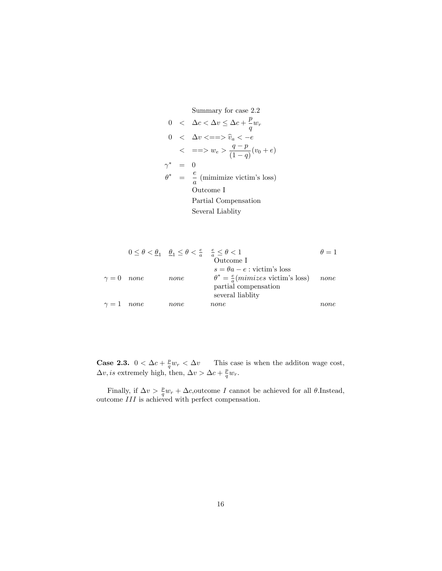Summary for case 2.2

$$
0 < \Delta c < \Delta v \leq \Delta c + \frac{p}{q} w_r
$$
  
\n
$$
0 < \Delta v < = \Longrightarrow \hat{v}_a < -e
$$
  
\n
$$
< = \Longrightarrow w_e > \frac{q-p}{(1-q)} (v_0 + e)
$$
  
\n
$$
\gamma^* = 0
$$
  
\n
$$
\theta^* = \frac{e}{a} \text{ (minimize victim's loss)}
$$
  
\n
$$
\text{Outcome I}
$$
  
\nPartial Comparison  
\nSeveral Liability

$$
0 \leq \theta < \underline{\theta}_1 \quad \underline{\theta}_1 \leq \theta < \frac{e}{a} \quad \frac{e}{a} \leq \theta < 1 \qquad \qquad \theta = 1
$$
\nOutcome I

\n
$$
\gamma = 0 \quad none \qquad none \qquad \begin{array}{c} \theta = 1 \\ \theta = 1 \end{array}
$$
\nNotice  $\text{I}$ 

\n
$$
s = \theta a - e : \text{victim's loss}
$$
\n
$$
\theta^* = \frac{e}{a} (\text{minizes } \text{victim's loss}) \qquad none \qquad none \qquad none \qquad none \qquad none \qquad none \qquad none \qquad none \qquad none
$$

**Case 2.3.**  $0 < \Delta c + \frac{p}{q} w_r < \Delta v$  This case is when the addition wage cost,  $\Delta v$ , is extremely high, then,  $\Delta v > \Delta c + \frac{p}{q} w_r$ .

Finally, if  $\Delta v > \frac{p}{q} w_r + \Delta c$ , outcome I cannot be achieved for all  $\theta$ . Instead, outcome III is achieved with perfect compensation.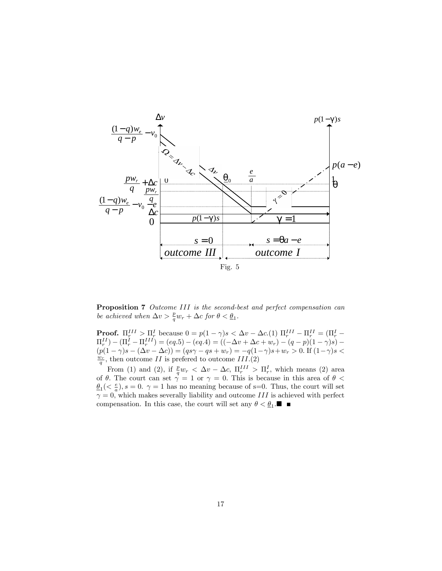

Proposition 7 Outcome III is the second-best and perfect compensation can be achieved when  $\Delta v > \frac{p}{q} w_r + \Delta c$  for  $\theta < \underline{\theta}_1$ .

**Proof.**  $\Pi_r^{III} > \Pi_r^I$  because  $0 = p(1 - \gamma)s < \Delta v - \Delta c.(1) \Pi_r^{III} - \Pi_r^{II} = (\Pi_r^I - \Pi_r^{II}) - (\Pi_r^I - \Pi_r^{III}) = (eq.5) - (eq.4) = ((-\Delta v + \Delta c + w_r) - (q - p)(1 - \gamma)s) (p(1 - \gamma)s - (\Delta v - \Delta c)) = (qs\gamma - qs + w_r) = -q(1 - \gamma)s + w_r > 0.$  If  $(1 - \gamma)s <$  $\frac{w_r}{q}$ , then outcome II is prefered to outcome III.(2)

From (1) and (2), if  $\frac{p}{q}w_r < \Delta v - \Delta c$ ,  $\Pi_r^{III} > \Pi_r^I$ , which means (2) area of  $\theta$ . The court can set  $\gamma = 1$  or  $\gamma = 0$ . This is because in this area of  $\theta$  <  $\frac{\theta}{2}$  (<  $\frac{e}{a}$ ), s = 0.  $\gamma$  = 1 has no meaning because of s=0. Thus, the court will set  $\gamma = 0$ , which makes severally liability and outcome III is achieved with perfect compensation. In this case, the court will set any  $\theta < \underline{\theta}_1$ .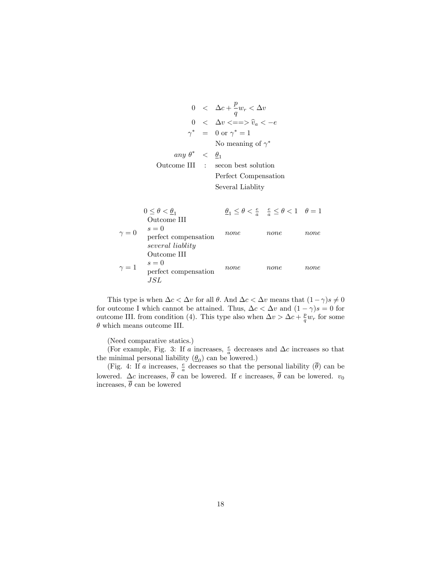$$
0 < \Delta c + \frac{p}{q} w_r < \Delta v
$$
  
\n
$$
0 < \Delta v < = \Rightarrow \hat{v}_a < -e
$$
  
\n
$$
\gamma^* = 0 \text{ or } \gamma^* = 1
$$
  
\nNo meaning of  $\gamma^*$   
\n
$$
any \theta^* < \frac{\theta_1}{1}
$$
  
\nOutcome III : second best solution  
\nPerfect Comparison  
\nSeveral Liability

 $0 \leq \theta < \underline{\theta}_1$  $\underline{\theta}_1 \le \theta < \frac{e}{a}$   $\underline{\theta} \le \theta < 1$   $\theta = 1$  $\gamma = 0$ Outcome III  $s = 0$ perfect compensation several liablity none none none  $\gamma = 1$ Outcome III  $\sqrt{s}=0$ perfect compensation JSL none none none

This type is when  $\Delta c < \Delta v$  for all  $\theta$ . And  $\Delta c < \Delta v$  means that  $(1 - \gamma)s \neq 0$ for outcome I which cannot be attained. Thus,  $\Delta c < \Delta v$  and  $(1 - \gamma)s = 0$  for outcome III. from condition (4). This type also when  $\Delta v > \Delta c + \frac{p}{q} w_r$  for some  $\theta$  which means outcome III.

(Need comparative statics.)

(For example, Fig. 3: If a increases,  $\frac{e}{a}$  decreases and  $\Delta c$  increases so that the minimal personal liability  $(\underline{\theta}_0)$  can be lowered.)

(Fig. 4: If a increases,  $\frac{e}{a}$  decreases so that the personal liability  $(\bar{\theta})$  can be lowered.  $\Delta c$  increases,  $\theta$  can be lowered. If e increases,  $\theta$  can be lowered.  $v_0$ increases,  $\overline{\theta}$  can be lowered